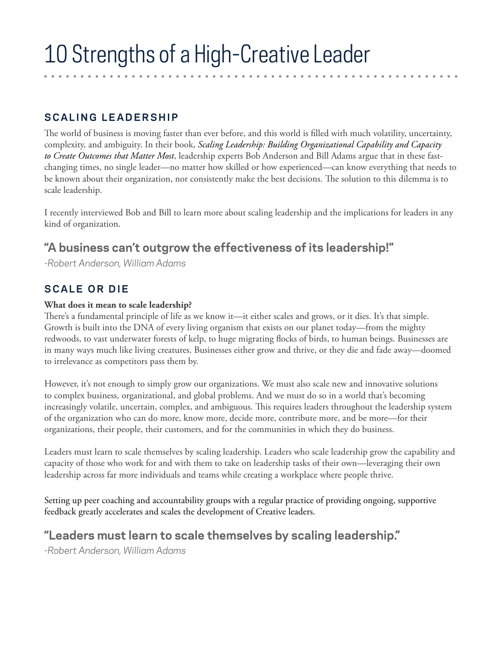# **SCALING LEADERSHIP**

The world of business is moving faster than ever before, and this world is filled with much volatility, uncertainty, complexity, and ambiguity. In their book, *Scaling Leadership: Building Organizational Capability and Capacity to Create Outcomes that Matter Most*, leadership experts Bob Anderson and Bill Adams argue that in these fastchanging times, no single leader—no matter how skilled or how experienced—can know everything that needs to be known about their organization, nor consistently make the best decisions. The solution to this dilemma is to scale leadership.

I recently interviewed Bob and Bill to learn more about scaling leadership and the implications for leaders in any kind of organization.

# **"A business can't outgrow the effectiveness of its leadership!"**

*-Robert Anderson, William Adams*

### **SCALE OR DIE**

#### **What does it mean to scale leadership?**

There's a fundamental principle of life as we know it—it either scales and grows, or it dies. It's that simple. Growth is built into the DNA of every living organism that exists on our planet today—from the mighty redwoods, to vast underwater forests of kelp, to huge migrating flocks of birds, to human beings. Businesses are in many ways much like living creatures. Businesses either grow and thrive, or they die and fade away—doomed to irrelevance as competitors pass them by.

However, it's not enough to simply grow our organizations. We must also scale new and innovative solutions to complex business, organizational, and global problems. And we must do so in a world that's becoming increasingly volatile, uncertain, complex, and ambiguous. This requires leaders throughout the leadership system of the organization who can do more, know more, decide more, contribute more, and be more—for their organizations, their people, their customers, and for the communities in which they do business.

Leaders must learn to scale themselves by scaling leadership. Leaders who scale leadership grow the capability and capacity of those who work for and with them to take on leadership tasks of their own—leveraging their own leadership across far more individuals and teams while creating a workplace where people thrive.

Setting up peer coaching and accountability groups with a regular practice of providing ongoing, supportive feedback greatly accelerates and scales the development of Creative leaders.

# **"Leaders must learn to scale themselves by scaling leadership."**

*-Robert Anderson, William Adams*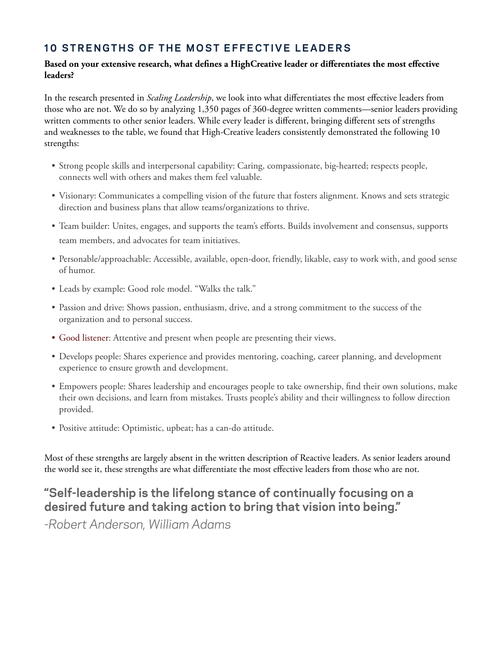#### **10 STRENGTHS OF THE MOST EFFECTIVE LEADERS**

#### **Based on your extensive research, what defines a HighCreative leader or differentiates the most effective leaders?**

In the research presented in *Scaling Leadership*, we look into what differentiates the most effective leaders from those who are not. We do so by analyzing 1,350 pages of 360-degree written comments—senior leaders providing written comments to other senior leaders. While every leader is different, bringing different sets of strengths and weaknesses to the table, we found that High-Creative leaders consistently demonstrated the following 10 strengths:

- Strong people skills and interpersonal capability: Caring, compassionate, big-hearted; respects people, connects well with others and makes them feel valuable.
- Visionary: Communicates a compelling vision of the future that fosters alignment. Knows and sets strategic direction and business plans that allow teams/organizations to thrive.
- Team builder: Unites, engages, and supports the team's efforts. Builds involvement and consensus, supports team members, and advocates for team initiatives.
- Personable/approachable: Accessible, available, open-door, friendly, likable, easy to work with, and good sense of humor.
- Leads by example: Good role model. "Walks the talk."
- Passion and drive: Shows passion, enthusiasm, drive, and a strong commitment to the success of the organization and to personal success.
- Good listener: Attentive and present when people are presenting their views.
- Develops people: Shares experience and provides mentoring, coaching, career planning, and development experience to ensure growth and development.
- Empowers people: Shares leadership and encourages people to take ownership, find their own solutions, make their own decisions, and learn from mistakes. Trusts people's ability and their willingness to follow direction provided.
- Positive attitude: Optimistic, upbeat; has a can-do attitude.

Most of these strengths are largely absent in the written description of Reactive leaders. As senior leaders around the world see it, these strengths are what differentiate the most effective leaders from those who are not.

# **"Self-leadership is the lifelong stance of continually focusing on a desired future and taking action to bring that vision into being."**

*-Robert Anderson, William Adams*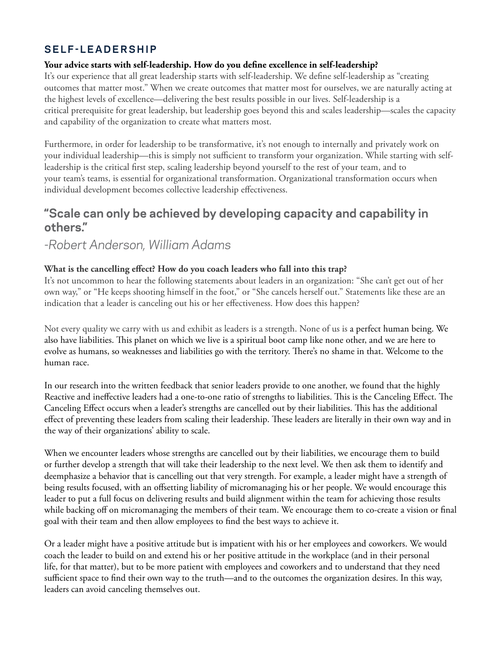### **SELF-LEADERSHIP**

#### **Your advice starts with self-leadership. How do you define excellence in self-leadership?**

It's our experience that all great leadership starts with self-leadership. We define self-leadership as "creating outcomes that matter most." When we create outcomes that matter most for ourselves, we are naturally acting at the highest levels of excellence—delivering the best results possible in our lives. Self-leadership is a critical prerequisite for great leadership, but leadership goes beyond this and scales leadership—scales the capacity and capability of the organization to create what matters most.

Furthermore, in order for leadership to be transformative, it's not enough to internally and privately work on your individual leadership—this is simply not sufficient to transform your organization. While starting with selfleadership is the critical first step, scaling leadership beyond yourself to the rest of your team, and to your team's teams, is essential for organizational transformation. Organizational transformation occurs when individual development becomes collective leadership effectiveness.

### **"Scale can only be achieved by developing capacity and capability in others."**

### *-Robert Anderson, William Adams*

#### **What is the cancelling effect? How do you coach leaders who fall into this trap?**

It's not uncommon to hear the following statements about leaders in an organization: "She can't get out of her own way," or "He keeps shooting himself in the foot," or "She cancels herself out." Statements like these are an indication that a leader is canceling out his or her effectiveness. How does this happen?

Not every quality we carry with us and exhibit as leaders is a strength. None of us is a perfect human being. We also have liabilities. This planet on which we live is a spiritual boot camp like none other, and we are here to evolve as humans, so weaknesses and liabilities go with the territory. There's no shame in that. Welcome to the human race.

In our research into the written feedback that senior leaders provide to one another, we found that the highly Reactive and ineffective leaders had a one-to-one ratio of strengths to liabilities. This is the Canceling Effect. The Canceling Effect occurs when a leader's strengths are cancelled out by their liabilities. This has the additional effect of preventing these leaders from scaling their leadership. These leaders are literally in their own way and in the way of their organizations' ability to scale.

When we encounter leaders whose strengths are cancelled out by their liabilities, we encourage them to build or further develop a strength that will take their leadership to the next level. We then ask them to identify and deemphasize a behavior that is cancelling out that very strength. For example, a leader might have a strength of being results focused, with an offsetting liability of micromanaging his or her people. We would encourage this leader to put a full focus on delivering results and build alignment within the team for achieving those results while backing off on micromanaging the members of their team. We encourage them to co-create a vision or final goal with their team and then allow employees to find the best ways to achieve it.

Or a leader might have a positive attitude but is impatient with his or her employees and coworkers. We would coach the leader to build on and extend his or her positive attitude in the workplace (and in their personal life, for that matter), but to be more patient with employees and coworkers and to understand that they need sufficient space to find their own way to the truth—and to the outcomes the organization desires. In this way, leaders can avoid canceling themselves out.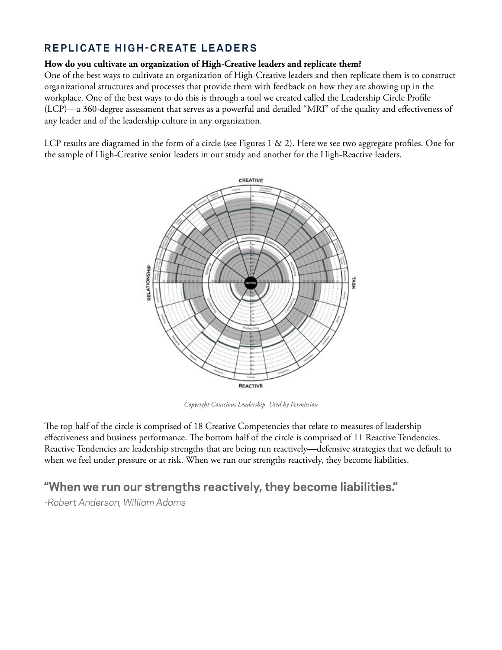### **REPLICATE HIGH-CREATE LEADERS**

#### **How do you cultivate an organization of High-Creative leaders and replicate them?**

One of the best ways to cultivate an organization of High-Creative leaders and then replicate them is to construct organizational structures and processes that provide them with feedback on how they are showing up in the workplace. One of the best ways to do this is through a tool we created called the Leadership Circle Profile (LCP)—a 360-degree assessment that serves as a powerful and detailed "MRI" of the quality and effectiveness of any leader and of the leadership culture in any organization.

LCP results are diagramed in the form of a circle (see Figures 1 & 2). Here we see two aggregate profiles. One for the sample of High-Creative senior leaders in our study and another for the High-Reactive leaders.



*Copyright Conscious Leadership, Used by Permission*

The top half of the circle is comprised of 18 Creative Competencies that relate to measures of leadership effectiveness and business performance. The bottom half of the circle is comprised of 11 Reactive Tendencies. Reactive Tendencies are leadership strengths that are being run reactively—defensive strategies that we default to when we feel under pressure or at risk. When we run our strengths reactively, they become liabilities.

### **"When we run our strengths reactively, they become liabilities."**

*-Robert Anderson, William Adams*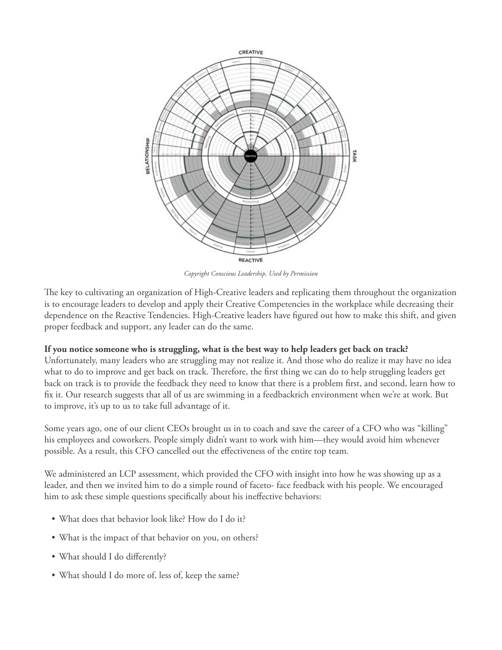

*Copyright Conscious Leadership, Used by Permission*

The key to cultivating an organization of High-Creative leaders and replicating them throughout the organization is to encourage leaders to develop and apply their Creative Competencies in the workplace while decreasing their dependence on the Reactive Tendencies. High-Creative leaders have figured out how to make this shift, and given proper feedback and support, any leader can do the same.

#### **If you notice someone who is struggling, what is the best way to help leaders get back on track?**

Unfortunately, many leaders who are struggling may not realize it. And those who do realize it may have no idea what to do to improve and get back on track. Therefore, the first thing we can do to help struggling leaders get back on track is to provide the feedback they need to know that there is a problem first, and second, learn how to fix it. Our research suggests that all of us are swimming in a feedbackrich environment when we're at work. But to improve, it's up to us to take full advantage of it.

Some years ago, one of our client CEOs brought us in to coach and save the career of a CFO who was "killing" his employees and coworkers. People simply didn't want to work with him—they would avoid him whenever possible. As a result, this CFO cancelled out the effectiveness of the entire top team.

We administered an LCP assessment, which provided the CFO with insight into how he was showing up as a leader, and then we invited him to do a simple round of faceto- face feedback with his people. We encouraged him to ask these simple questions specifically about his ineffective behaviors:

- What does that behavior look like? How do I do it?
- What is the impact of that behavior on you, on others?
- What should I do differently?
- What should I do more of, less of, keep the same?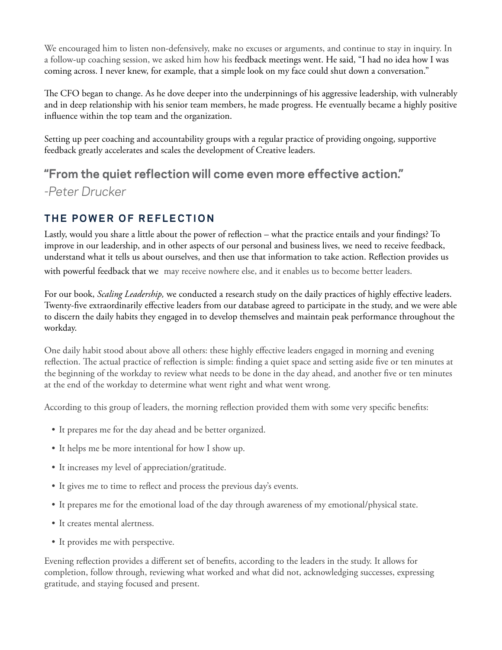We encouraged him to listen non-defensively, make no excuses or arguments, and continue to stay in inquiry. In a follow-up coaching session, we asked him how his feedback meetings went. He said, "I had no idea how I was coming across. I never knew, for example, that a simple look on my face could shut down a conversation."

The CFO began to change. As he dove deeper into the underpinnings of his aggressive leadership, with vulnerably and in deep relationship with his senior team members, he made progress. He eventually became a highly positive influence within the top team and the organization.

Setting up peer coaching and accountability groups with a regular practice of providing ongoing, supportive feedback greatly accelerates and scales the development of Creative leaders.

# **"From the quiet reflection will come even more effective action."** *-Peter Drucker*

# **THE POWER OF REFLECTION**

Lastly, would you share a little about the power of reflection – what the practice entails and your findings? To improve in our leadership, and in other aspects of our personal and business lives, we need to receive feedback, understand what it tells us about ourselves, and then use that information to take action. Reflection provides us

with powerful feedback that we may receive nowhere else, and it enables us to become better leaders.

For our book, *Scaling Leadership,* we conducted a research study on the daily practices of highly effective leaders. Twenty-five extraordinarily effective leaders from our database agreed to participate in the study, and we were able to discern the daily habits they engaged in to develop themselves and maintain peak performance throughout the workday.

One daily habit stood about above all others: these highly effective leaders engaged in morning and evening reflection. The actual practice of reflection is simple: finding a quiet space and setting aside five or ten minutes at the beginning of the workday to review what needs to be done in the day ahead, and another five or ten minutes at the end of the workday to determine what went right and what went wrong.

According to this group of leaders, the morning reflection provided them with some very specific benefits:

- It prepares me for the day ahead and be better organized.
- It helps me be more intentional for how I show up.
- It increases my level of appreciation/gratitude.
- It gives me to time to reflect and process the previous day's events.
- It prepares me for the emotional load of the day through awareness of my emotional/physical state.
- It creates mental alertness.
- It provides me with perspective.

Evening reflection provides a different set of benefits, according to the leaders in the study. It allows for completion, follow through, reviewing what worked and what did not, acknowledging successes, expressing gratitude, and staying focused and present.